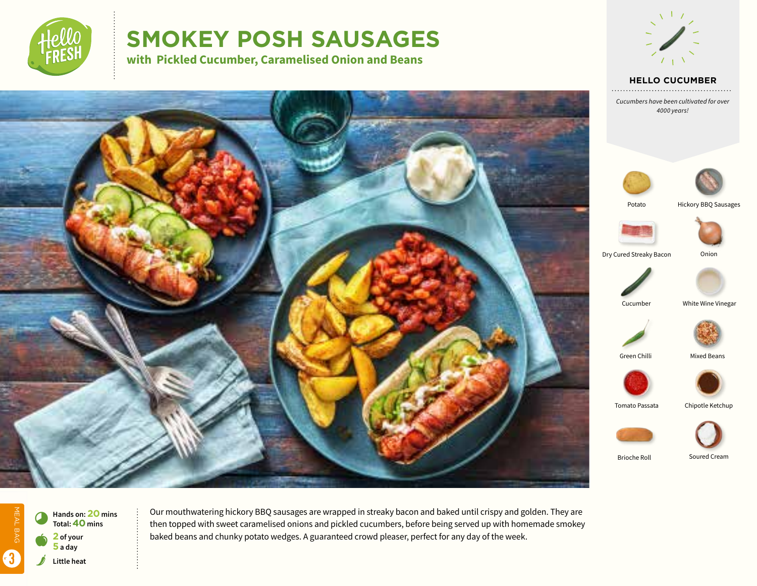

# **SMOKEY POSH SAUSAGES**

**with Pickled Cucumber, Caramelised Onion and Beans**





**Little heat**

**2 of your 5 a day**

Our mouthwatering hickory BBQ sausages are wrapped in streaky bacon and baked until crispy and golden. They are then topped with sweet caramelised onions and pickled cucumbers, before being served up with homemade smokey baked beans and chunky potato wedges. A guaranteed crowd pleaser, perfect for any day of the week.